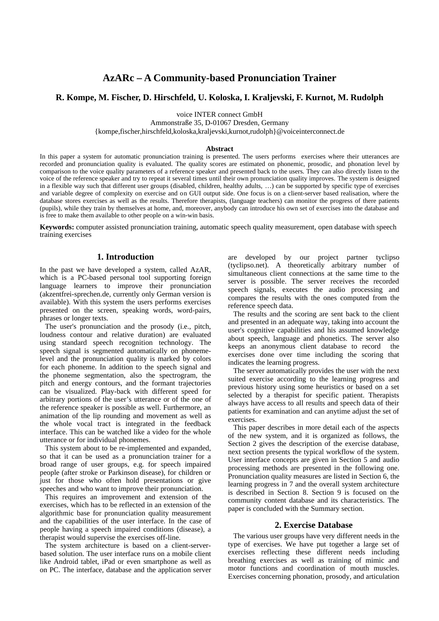# **AzARc – A Community-based Pronunciation Trainer**

# **R. Kompe, M. Fischer, D. Hirschfeld, U. Koloska, I. Kraljevski, F. Kurnot, M. Rudolph**

voice INTER connect GmbH

Ammonstraße 35, D-01067 Dresden, Germany

{kompe,fischer,hirschfeld,koloska,kraljevski,kurnot,rudolph}@voiceinterconnect.de

#### **Abstract**

In this paper a system for automatic pronunciation training is presented. The users performs exercises where their utterances are recorded and pronunciation quality is evaluated. The quality scores are estimated on phonemic, prosodic, and phonation level by comparison to the voice quality parameters of a reference speaker and presented back to the users. They can also directly listen to the voice of the reference speaker and try to repeat it several times until their own pronunciation quality improves. The system is designed in a flexible way such that different user groups (disabled, children, healthy adults, …) can be supported by specific type of exercises and variable degree of complexity on exercise and on GUI output side. One focus is on a client-server based realisation, where the database stores exercises as well as the results. Therefore therapists, (language teachers) can monitor the progress of there patients (pupils), while they train by themselves at home, and, moreover, anybody can introduce his own set of exercises into the database and is free to make them available to other people on a win-win basis.

**Keywords:** computer assisted pronunciation training, automatic speech quality measurement, open database with speech training exercises

# **1. Introduction**

In the past we have developed a system, called AzAR, which is a PC-based personal tool supporting foreign language learners to improve their pronunciation (akzentfrei-sprechen.de, currently only German version is available). With this system the users performs exercises presented on the screen, speaking words, word-pairs, phrases or longer texts.

The user's pronunciation and the prosody (i.e., pitch, loudness contour and relative duration) are evaluated using standard speech recognition technology. The speech signal is segmented automatically on phonemelevel and the pronunciation quality is marked by colors for each phoneme. In addition to the speech signal and the phoneme segmentation, also the spectrogram, the pitch and energy contours, and the formant trajectories can be visualized. Play-back with different speed for arbitrary portions of the user's utterance or of the one of the reference speaker is possible as well. Furthermore, an animation of the lip rounding and movement as well as the whole vocal tract is integrated in the feedback interface. This can be watched like a video for the whole utterance or for individual phonemes.

This system about to be re-implemented and expanded, so that it can be used as a pronunciation trainer for a broad range of user groups, e.g. for speech impaired people (after stroke or Parkinson disease), for children or just for those who often hold presentations or give speeches and who want to improve their pronunciation.

This requires an improvement and extension of the exercises, which has to be reflected in an extension of the algorithmic base for pronunciation quality measurement and the capabilities of the user interface. In the case of people having a speech impaired conditions (disease), a therapist would supervise the exercises off-line.

The system architecture is based on a client-serverbased solution. The user interface runs on a mobile client like Android tablet, iPad or even smartphone as well as on PC. The interface, database and the application server are developed by our project partner tyclipso (tyclipso.net). A theoretically arbitrary number of simultaneous client connections at the same time to the server is possible. The server receives the recorded speech signals, executes the audio processing and compares the results with the ones computed from the reference speech data.

The results and the scoring are sent back to the client and presented in an adequate way, taking into account the user's cognitive capabilities and his assumed knowledge about speech, language and phonetics. The server also keeps an anonymous client database to record the exercises done over time including the scoring that indicates the learning progress.

The server automatically provides the user with the next suited exercise according to the learning progress and previous history using some heuristics or based on a set selected by a therapist for specific patient. Therapists always have access to all results and speech data of their patients for examination and can anytime adjust the set of exercises.

This paper describes in more detail each of the aspects of the new system, and it is organized as follows, the Section 2 gives the description of the exercise database, next section presents the typical workflow of the system. User interface concepts are given in Section 5 and audio processing methods are presented in the following one. Pronunciation quality measures are listed in Section 6, the learning progress in 7 and the overall system architecture is described in Section 8. Section 9 is focused on the community content database and its characteristics. The paper is concluded with the Summary section.

#### **2. Exercise Database**

The various user groups have very different needs in the type of exercises. We have put together a large set of exercises reflecting these different needs including breathing exercises as well as training of mimic and motor functions and coordination of mouth muscles. Exercises concerning phonation, prosody, and articulation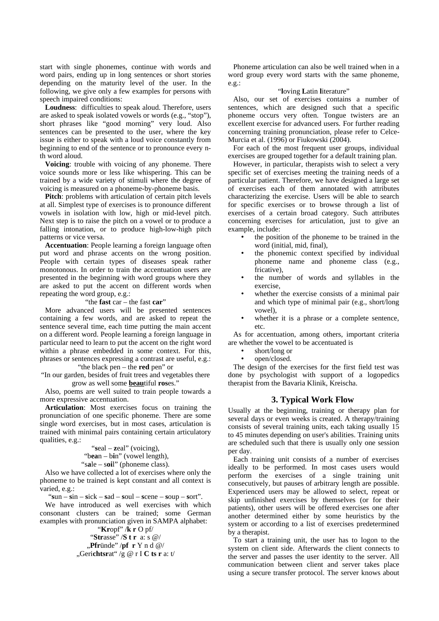start with single phonemes, continue with words and word pairs, ending up in long sentences or short stories depending on the maturity level of the user. In the following, we give only a few examples for persons with speech impaired conditions:

**Loudness**: difficulties to speak aloud. Therefore, users are asked to speak isolated vowels or words (e.g., "stop"), short phrases like "good morning" very loud. Also sentences can be presented to the user, where the key issue is either to speak with a loud voice constantly from beginning to end of the sentence or to pronounce every nth word aloud.

**Voicing**: trouble with voicing of any phoneme. There voice sounds more or less like whispering. This can be trained by a wide variety of stimuli where the degree of voicing is measured on a phoneme-by-phoneme basis.

**Pitch**: problems with articulation of certain pitch levels at all. Simplest type of exercises is to pronounce different vowels in isolation with low, high or mid-level pitch. Next step is to raise the pitch on a vowel or to produce a falling intonation, or to produce high-low-high pitch patterns or vice versa.

**Accentuation**: People learning a foreign language often put word and phrase accents on the wrong position. People with certain types of diseases speak rather monotonous. In order to train the accentuation users are presented in the beginning with word groups where they are asked to put the accent on different words when repeating the word group, e.g.:

#### "the **fast** car – the fast **car**"

More advanced users will be presented sentences containing a few words, and are asked to repeat the sentence several time, each time putting the main accent on a different word. People learning a foreign language in particular need to learn to put the accent on the right word within a phrase embedded in some context. For this, phrases or sentences expressing a contrast are useful, e.g.: "the black pen – the **red** pen" or

"In our garden, besides of fruit trees and vegetables there grow as well some **beau**tiful **ros**es."

Also, poems are well suited to train people towards a more expressive accentuation.

**Articulation**: Most exercises focus on training the pronunciation of one specific phoneme. There are some single word exercises, but in most cases, articulation is trained with minimal pairs containing certain articulatory qualities, e.g.:

"**s**eal – **z**eal" (voicing), "b**ea**n – b**i**n" (vowel length), "s**a**le – s**oi**l" (phoneme class).

Also we have collected a lot of exercises where only the phoneme to be trained is kept constant and all context is varied, e.g.:

"**s**un – **s**in – **s**ick – **s**ad – **s**oul – **s**cene – **s**oup – **s**ort".

We have introduced as well exercises with which consonant clusters can be trained; some German examples with pronunciation given in SAMPA alphabet:

"**Kr**opf" /**k r** O pf/ "**Str**asse" /**S t r** a: s @/ "**Pfr**ünde" /**pf r** Y n d @/ "Geri**chtsr**at" /g @ r I **C ts r** a: t/

Phoneme articulation can also be well trained when in a word group every word starts with the same phoneme, e.g.:

#### "**l**oving **L**atin **l**iterature"

Also, our set of exercises contains a number of sentences, which are designed such that a specific phoneme occurs very often. Tongue twisters are an excellent exercise for advanced users. For further reading concerning training pronunciation, please refer to Celce-Murcia et al. (1996) or Fiukowski (2004).

For each of the most frequent user groups, individual exercises are grouped together for a default training plan.

However, in particular, therapists wish to select a very specific set of exercises meeting the training needs of a particular patient. Therefore, we have designed a large set of exercises each of them annotated with attributes characterizing the exercise. Users will be able to search for specific exercises or to browse through a list of exercises of a certain broad category. Such attributes concerning exercises for articulation, just to give an example, include:

- the position of the phoneme to be trained in the word (initial, mid, final),
- the phonemic context specified by individual phoneme name and phoneme class (e.g., fricative),
- the number of words and syllables in the exercise,
- whether the exercise consists of a minimal pair and which type of minimal pair (e.g., short/long vowel),
- whether it is a phrase or a complete sentence, etc.

As for accentuation, among others, important criteria are whether the vowel to be accentuated is

- short/long or
- open/closed.

The design of the exercises for the first field test was done by psychologist with support of a logopedics therapist from the Bavaria Klinik, Kreischa.

## **3. Typical Work Flow**

Usually at the beginning, training or therapy plan for several days or even weeks is created. A therapy/training consists of several training units, each taking usually 15 to 45 minutes depending on user's abilities. Training units are scheduled such that there is usually only one session per day.

Each training unit consists of a number of exercises ideally to be performed. In most cases users would perform the exercises of a single training unit consecutively, but pauses of arbitrary length are possible. Experienced users may be allowed to select, repeat or skip unfinished exercises by themselves (or for their patients), other users will be offered exercises one after another determined either by some heuristics by the system or according to a list of exercises predetermined by a therapist.

To start a training unit, the user has to logon to the system on client side. Afterwards the client connects to the server and passes the user identity to the server. All communication between client and server takes place using a secure transfer protocol. The server knows about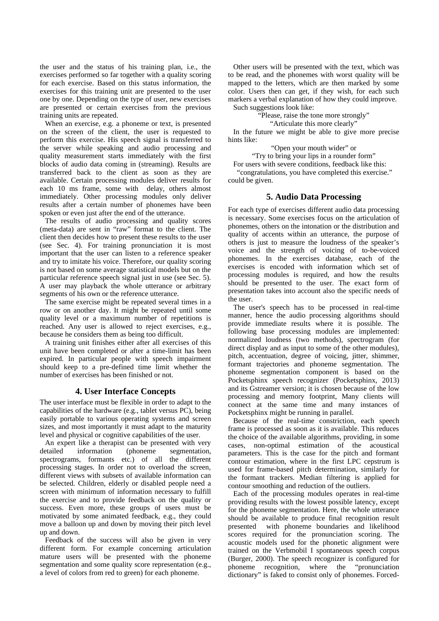the user and the status of his training plan, i.e., the exercises performed so far together with a quality scoring for each exercise. Based on this status information, the exercises for this training unit are presented to the user one by one. Depending on the type of user, new exercises are presented or certain exercises from the previous training units are repeated.

When an exercise, e.g. a phoneme or text, is presented on the screen of the client, the user is requested to perform this exercise. His speech signal is transferred to the server while speaking and audio processing and quality measurement starts immediately with the first blocks of audio data coming in (streaming). Results are transferred back to the client as soon as they are available. Certain processing modules deliver results for each 10 ms frame, some with delay, others almost immediately. Other processing modules only deliver results after a certain number of phonemes have been spoken or even just after the end of the utterance.

The results of audio processing and quality scores (meta-data) are sent in "raw" format to the client. The client then decides how to present these results to the user (see Sec. 4). For training pronunciation it is most important that the user can listen to a reference speaker and try to imitate his voice. Therefore, our quality scoring is not based on some average statistical models but on the particular reference speech signal just in use (see Sec. 5). A user may playback the whole utterance or arbitrary segments of his own or the reference utterance.

The same exercise might be repeated several times in a row or on another day. It might be repeated until some quality level or a maximum number of repetitions is reached. Any user is allowed to reject exercises, e.g., because he considers them as being too difficult.

A training unit finishes either after all exercises of this unit have been completed or after a time-limit has been expired. In particular people with speech impairment should keep to a pre-defined time limit whether the number of exercises has been finished or not.

## **4. User Interface Concepts**

The user interface must be flexible in order to adapt to the capabilities of the hardware (e.g., tablet versus PC), being easily portable to various operating systems and screen sizes, and most importantly it must adapt to the maturity level and physical or cognitive capabilities of the user.

An expert like a therapist can be presented with very detailed information (phoneme segmentation, spectrograms, formants etc.) of all the different processing stages. In order not to overload the screen, different views with subsets of available information can be selected. Children, elderly or disabled people need a screen with minimum of information necessary to fulfill the exercise and to provide feedback on the quality or success. Even more, these groups of users must be motivated by some animated feedback, e.g., they could move a balloon up and down by moving their pitch level up and down.

Feedback of the success will also be given in very different form. For example concerning articulation mature users will be presented with the phoneme segmentation and some quality score representation (e.g., a level of colors from red to green) for each phoneme.

Other users will be presented with the text, which was to be read, and the phonemes with worst quality will be mapped to the letters, which are then marked by some color. Users then can get, if they wish, for each such markers a verbal explanation of how they could improve. Such suggestions look like:

"Please, raise the tone more strongly"

"Articulate this more clearly"

In the future we might be able to give more precise hints like:

"Open your mouth wider" or

"Try to bring your lips in a rounder form"

For users with severe conditions, feedback like this: "congratulations, you have completed this exercise." could be given.

# **5. Audio Data Processing**

For each type of exercises different audio data processing is necessary. Some exercises focus on the articulation of phonemes, others on the intonation or the distribution and quality of accents within an utterance, the purpose of others is just to measure the loudness of the speaker's voice and the strength of voicing of to-be-voiced phonemes. In the exercises database, each of the exercises is encoded with information which set of processing modules is required, and how the results should be presented to the user. The exact form of presentation takes into account also the specific needs of the user.

The user's speech has to be processed in real-time manner, hence the audio processing algorithms should provide immediate results where it is possible. The following base processing modules are implemented: normalized loudness (two methods), spectrogram (for direct display and as input to some of the other modules), pitch, accentuation, degree of voicing, jitter, shimmer, formant trajectories and phoneme segmentation. The phoneme segmentation component is based on the Pocketsphinx speech recognizer (Pocketsphinx, 2013) and its Gstreamer version; it is chosen because of the low processing and memory footprint, Many clients will connect at the same time and many instances of Pocketsphinx might be running in parallel.

Because of the real-time constriction, each speech frame is processed as soon as it is available. This reduces the choice of the available algorithms, providing, in some cases, non-optimal estimation of the acoustical parameters. This is the case for the pitch and formant contour estimation, where in the first LPC cepstrum is used for frame-based pitch determination, similarly for the formant trackers. Median filtering is applied for contour smoothing and reduction of the outliers.

Each of the processing modules operates in real-time providing results with the lowest possible latency, except for the phoneme segmentation. Here, the whole utterance should be available to produce final recognition result presented with phoneme boundaries and likelihood scores required for the pronunciation scoring. The acoustic models used for the phonetic alignment were trained on the Verbmobil I spontaneous speech corpus (Burger, 2000). The speech recognizer is configured for phoneme recognition, where the "pronunciation dictionary" is faked to consist only of phonemes. Forced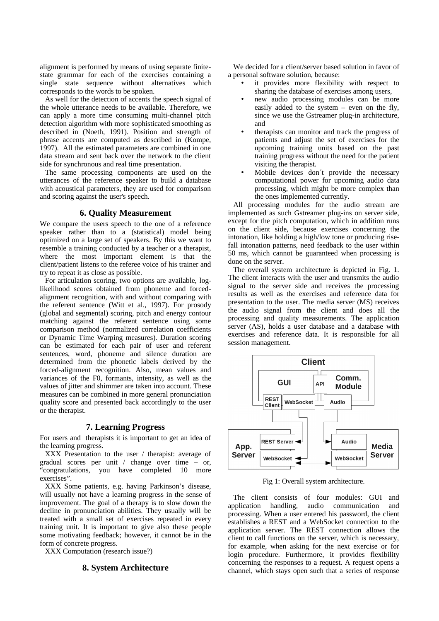alignment is performed by means of using separate finitestate grammar for each of the exercises containing a single state sequence without alternatives which corresponds to the words to be spoken.

As well for the detection of accents the speech signal of the whole utterance needs to be available. Therefore, we can apply a more time consuming multi-channel pitch detection algorithm with more sophisticated smoothing as described in (Noeth, 1991). Position and strength of phrase accents are computed as described in (Kompe, 1997). All the estimated parameters are combined in one data stream and sent back over the network to the client side for synchronous and real time presentation.

The same processing components are used on the utterances of the reference speaker to build a database with acoustical parameters, they are used for comparison and scoring against the user's speech.

### **6. Quality Measurement**

We compare the users speech to the one of a reference speaker rather than to a (statistical) model being optimized on a large set of speakers. By this we want to resemble a training conducted by a teacher or a therapist, where the most important element is that the client/patient listens to the referee voice of his trainer and try to repeat it as close as possible.

For articulation scoring, two options are available, loglikelihood scores obtained from phoneme and forcedalignment recognition, with and without comparing with the referent sentence (Witt et al., 1997). For prosody (global and segmental) scoring, pitch and energy contour matching against the referent sentence using some comparison method (normalized correlation coefficients or Dynamic Time Warping measures). Duration scoring can be estimated for each pair of user and referent sentences, word, phoneme and silence duration are determined from the phonetic labels derived by the forced-alignment recognition. Also, mean values and variances of the F0, formants, intensity, as well as the values of jitter and shimmer are taken into account. These measures can be combined in more general pronunciation quality score and presented back accordingly to the user or the therapist.

## **7. Learning Progress**

For users and therapists it is important to get an idea of the learning progress.

XXX Presentation to the user / therapist: average of gradual scores per unit / change over time – or, "congratulations, you have completed 10 more exercises".

XXX Some patients, e.g. having Parkinson's disease, will usually not have a learning progress in the sense of improvement. The goal of a therapy is to slow down the decline in pronunciation abilities. They usually will be treated with a small set of exercises repeated in every training unit. It is important to give also these people some motivating feedback; however, it cannot be in the form of concrete progress.

XXX Computation (research issue?)

# **8. System Architecture**

We decided for a client/server based solution in favor of a personal software solution, because:

- it provides more flexibility with respect to sharing the database of exercises among users,
- new audio processing modules can be more easily added to the system  $-$  even on the fly, since we use the Gstreamer plug-in architecture, and
- therapists can monitor and track the progress of patients and adjust the set of exercises for the upcoming training units based on the past training progress without the need for the patient visiting the therapist.
- Mobile devices don't provide the necessary computational power for upcoming audio data processing, which might be more complex than the ones implemented currently.

All processing modules for the audio stream are implemented as such Gstreamer plug-ins on server side, except for the pitch computation, which in addition runs on the client side, because exercises concerning the intonation, like holding a high/low tone or producing risefall intonation patterns, need feedback to the user within 50 ms, which cannot be guaranteed when processing is done on the server.

The overall system architecture is depicted in Fig. 1. The client interacts with the user and transmits the audio signal to the server side and receives the processing results as well as the exercises and reference data for presentation to the user. The media server (MS) receives the audio signal from the client and does all the processing and quality measurements. The application server (AS), holds a user database and a database with exercises and reference data. It is responsible for all session management.



Fig 1: Overall system architecture.

The client consists of four modules: GUI and pplication handling, audio communication and application handling, audio communication and processing. When a user entered his password, the client establishes a REST and a WebSocket connection to the application server. The REST connection allows the client to call functions on the server, which is necessary, for example, when asking for the next exercise or for login procedure. Furthermore, it provides flexibility concerning the responses to a request. A request opens a channel, which stays open such that a series of response